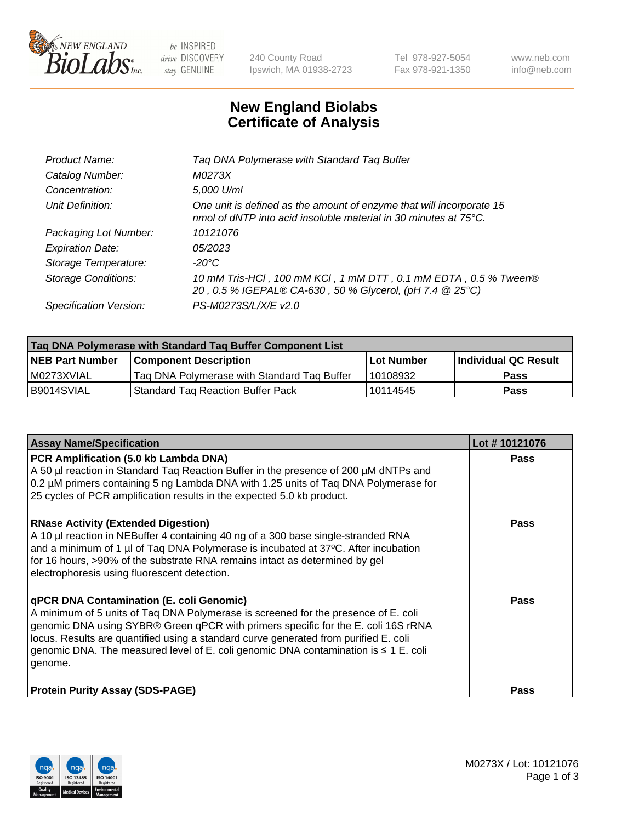

 $be$  INSPIRED drive DISCOVERY stay GENUINE

240 County Road Ipswich, MA 01938-2723 Tel 978-927-5054 Fax 978-921-1350 www.neb.com info@neb.com

## **New England Biolabs Certificate of Analysis**

| Tag DNA Polymerase with Standard Tag Buffer                                                                                              |
|------------------------------------------------------------------------------------------------------------------------------------------|
| M0273X                                                                                                                                   |
| 5,000 U/ml                                                                                                                               |
| One unit is defined as the amount of enzyme that will incorporate 15<br>nmol of dNTP into acid insoluble material in 30 minutes at 75°C. |
| 10121076                                                                                                                                 |
| 05/2023                                                                                                                                  |
| $-20^{\circ}$ C                                                                                                                          |
| 10 mM Tris-HCl, 100 mM KCl, 1 mM DTT, 0.1 mM EDTA, 0.5 % Tween®<br>20, 0.5 % IGEPAL® CA-630, 50 % Glycerol, (pH 7.4 @ 25°C)              |
| PS-M0273S/L/X/E v2.0                                                                                                                     |
|                                                                                                                                          |

| Tag DNA Polymerase with Standard Tag Buffer Component List |                                             |                   |                      |  |  |
|------------------------------------------------------------|---------------------------------------------|-------------------|----------------------|--|--|
| <b>NEB Part Number</b>                                     | Component Description_                      | <b>Lot Number</b> | Individual QC Result |  |  |
| M0273XVIAL                                                 | Tag DNA Polymerase with Standard Tag Buffer | l 10108932        | Pass                 |  |  |
| B9014SVIAL                                                 | <b>Standard Tag Reaction Buffer Pack</b>    | 10114545          | <b>Pass</b>          |  |  |

| <b>Assay Name/Specification</b>                                                                                                                                                                                                                                                                                                                                                                                    | Lot #10121076 |
|--------------------------------------------------------------------------------------------------------------------------------------------------------------------------------------------------------------------------------------------------------------------------------------------------------------------------------------------------------------------------------------------------------------------|---------------|
| PCR Amplification (5.0 kb Lambda DNA)<br>A 50 µl reaction in Standard Taq Reaction Buffer in the presence of 200 µM dNTPs and<br>0.2 µM primers containing 5 ng Lambda DNA with 1.25 units of Taq DNA Polymerase for<br>25 cycles of PCR amplification results in the expected 5.0 kb product.                                                                                                                     | Pass          |
| <b>RNase Activity (Extended Digestion)</b><br>A 10 µl reaction in NEBuffer 4 containing 40 ng of a 300 base single-stranded RNA<br>and a minimum of 1 µl of Taq DNA Polymerase is incubated at 37°C. After incubation<br>for 16 hours, >90% of the substrate RNA remains intact as determined by gel<br>electrophoresis using fluorescent detection.                                                               | Pass          |
| qPCR DNA Contamination (E. coli Genomic)<br>A minimum of 5 units of Taq DNA Polymerase is screened for the presence of E. coli<br>genomic DNA using SYBR® Green qPCR with primers specific for the E. coli 16S rRNA<br>locus. Results are quantified using a standard curve generated from purified E. coli<br>genomic DNA. The measured level of E. coli genomic DNA contamination is $\leq 1$ E. coli<br>genome. | Pass          |
| <b>Protein Purity Assay (SDS-PAGE)</b>                                                                                                                                                                                                                                                                                                                                                                             | Pass          |

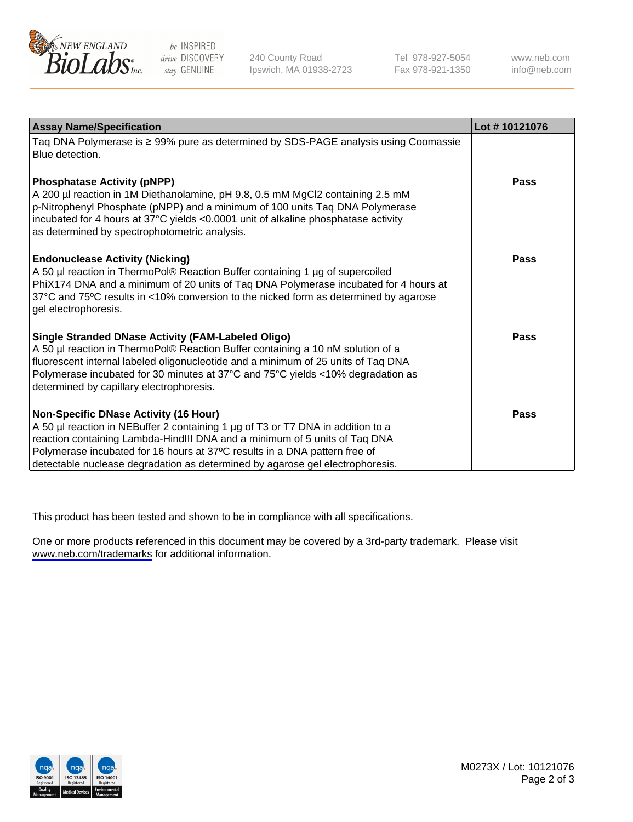

be INSPIRED drive DISCOVERY stay GENUINE

240 County Road Ipswich, MA 01938-2723 Tel 978-927-5054 Fax 978-921-1350

www.neb.com info@neb.com

| <b>Assay Name/Specification</b>                                                                                                                                                                                                                                                                                                                                       | Lot #10121076 |
|-----------------------------------------------------------------------------------------------------------------------------------------------------------------------------------------------------------------------------------------------------------------------------------------------------------------------------------------------------------------------|---------------|
| Taq DNA Polymerase is ≥ 99% pure as determined by SDS-PAGE analysis using Coomassie<br>Blue detection.                                                                                                                                                                                                                                                                |               |
| <b>Phosphatase Activity (pNPP)</b><br>A 200 µl reaction in 1M Diethanolamine, pH 9.8, 0.5 mM MgCl2 containing 2.5 mM<br>p-Nitrophenyl Phosphate (pNPP) and a minimum of 100 units Taq DNA Polymerase<br>incubated for 4 hours at 37°C yields <0.0001 unit of alkaline phosphatase activity<br>as determined by spectrophotometric analysis.                           | Pass          |
| <b>Endonuclease Activity (Nicking)</b><br>A 50 µl reaction in ThermoPol® Reaction Buffer containing 1 µg of supercoiled<br>PhiX174 DNA and a minimum of 20 units of Taq DNA Polymerase incubated for 4 hours at<br>37°C and 75°C results in <10% conversion to the nicked form as determined by agarose<br>gel electrophoresis.                                       | Pass          |
| Single Stranded DNase Activity (FAM-Labeled Oligo)<br>A 50 µl reaction in ThermoPol® Reaction Buffer containing a 10 nM solution of a<br>fluorescent internal labeled oligonucleotide and a minimum of 25 units of Taq DNA<br>Polymerase incubated for 30 minutes at 37°C and 75°C yields <10% degradation as<br>determined by capillary electrophoresis.             | <b>Pass</b>   |
| Non-Specific DNase Activity (16 Hour)<br>A 50 µl reaction in NEBuffer 2 containing 1 µg of T3 or T7 DNA in addition to a<br>reaction containing Lambda-HindIII DNA and a minimum of 5 units of Taq DNA<br>Polymerase incubated for 16 hours at 37°C results in a DNA pattern free of<br>detectable nuclease degradation as determined by agarose gel electrophoresis. | Pass          |

This product has been tested and shown to be in compliance with all specifications.

One or more products referenced in this document may be covered by a 3rd-party trademark. Please visit <www.neb.com/trademarks>for additional information.